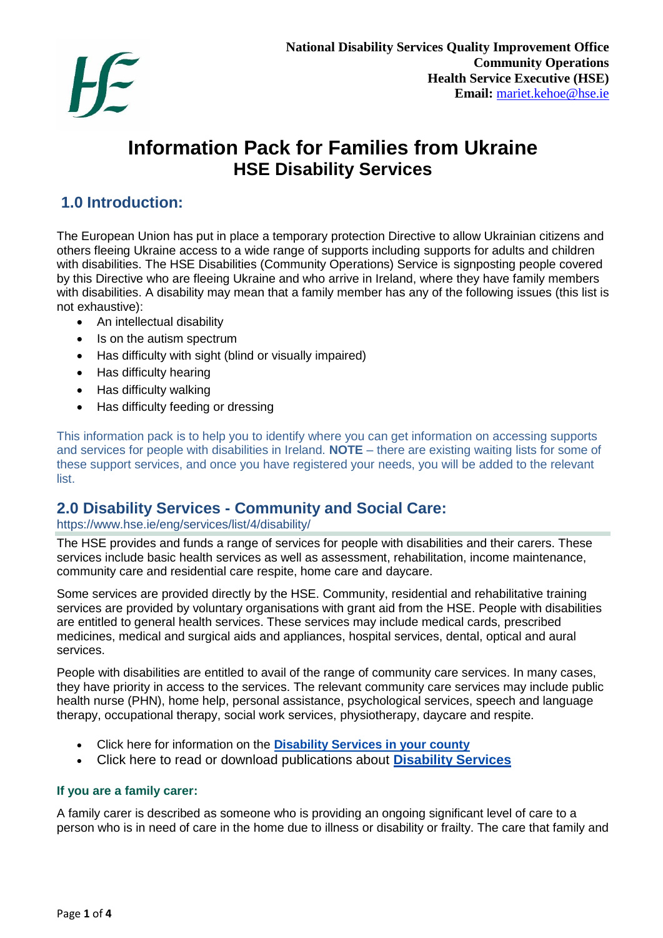

# **Information Pack for Families from Ukraine HSE Disability Services**

# **1.0 Introduction:**

The European Union has put in place a temporary protection Directive to allow Ukrainian citizens and others fleeing Ukraine access to a wide range of supports including supports for adults and children with disabilities. The HSE Disabilities (Community Operations) Service is signposting people covered by this Directive who are fleeing Ukraine and who arrive in Ireland, where they have family members with disabilities. A disability may mean that a family member has any of the following issues (this list is not exhaustive):

- An intellectual disability
- Is on the autism spectrum
- Has difficulty with sight (blind or visually impaired)
- Has difficulty hearing
- Has difficulty walking
- Has difficulty feeding or dressing

This information pack is to help you to identify where you can get information on accessing supports and services for people with disabilities in Ireland. **NOTE** – there are existing waiting lists for some of these support services, and once you have registered your needs, you will be added to the relevant list.

# **2.0 Disability Services - Community and Social Care:**

#### https://www.hse.ie/eng/services/list/4/disability/

The HSE provides and funds a range of services for people with disabilities and their carers. These services include basic health services as well as assessment, rehabilitation, income maintenance, community care and residential care respite, home care and daycare.

Some services are provided directly by the HSE. Community, residential and rehabilitative training services are provided by voluntary organisations with grant aid from the HSE. People with disabilities are entitled to general health services. These services may include medical cards, prescribed medicines, medical and surgical aids and appliances, hospital services, dental, optical and aural services.

People with disabilities are entitled to avail of the range of community care services. In many cases, they have priority in access to the services. The relevant community care services may include public health nurse (PHN), home help, personal assistance, psychological services, speech and language therapy, occupational therapy, social work services, physiotherapy, daycare and respite.

- Click here for information on the **[Disability Services in your county](https://www.hse.ie/eng/services/list/4/disability/disabilityservicescounty.html)**
- Click here to read or download publications about **[Disability Services](https://www.hse.ie/eng/services/publications/disability/disability-services-.html)**

#### **If you are a family carer:**

A family carer is described as someone who is providing an ongoing significant level of care to a person who is in need of care in the home due to illness or disability or frailty. The care that family and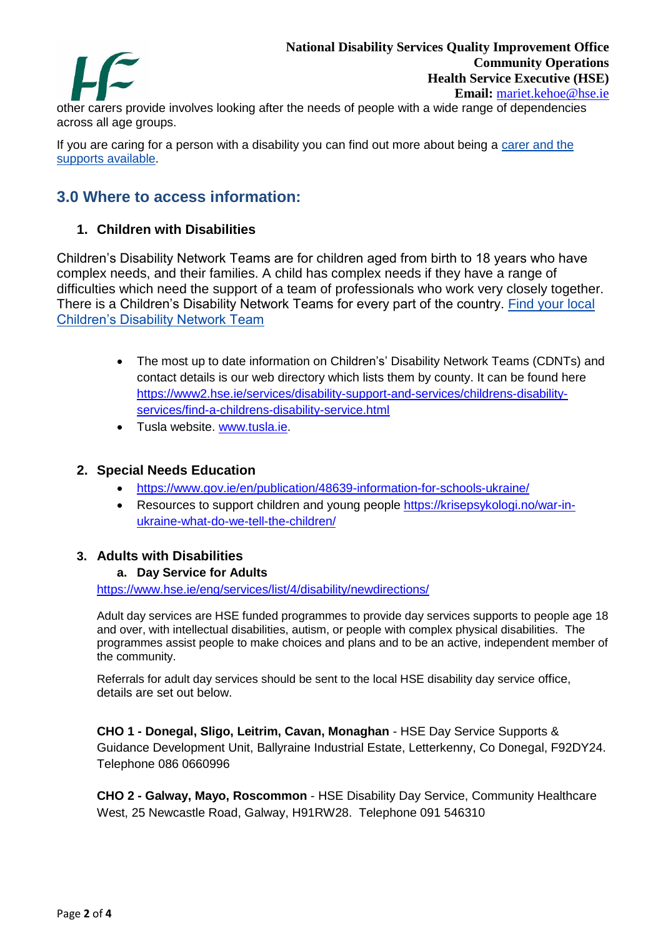

other carers provide involves looking after the needs of people with a wide range of dependencies across all age groups.

If you are caring for a person with a disability you can find out more about being a [carer and the](https://www.hse.ie/eng/services/list/3/carerssupport/)  [supports available.](https://www.hse.ie/eng/services/list/3/carerssupport/)

# **3.0 Where to access information:**

# **1. Children with Disabilities**

Children's Disability Network Teams are for children aged from birth to 18 years who have complex needs, and their families. A child has complex needs if they have a range of difficulties which need the support of a team of professionals who work very closely together. There is a Children's Disability Network Teams for every part of the country. [Find your local](https://www2.hse.ie/services/disability-support-and-services/childrens-disability-services/find-a-childrens-disability-service.html)  [Children's Disability Network Team](https://www2.hse.ie/services/disability-support-and-services/childrens-disability-services/find-a-childrens-disability-service.html)

- The most up to date information on Children's' Disability Network Teams (CDNTs) and contact details is our web directory which lists them by county. It can be found here [https://www2.hse.ie/services/disability-support-and-services/childrens-disability](https://scanner.topsec.com/?u=https%3A%2F%2Fwww2.hse.ie%2Fservices%2Fdisability-support-and-services%2Fchildrens-disability-services%2Ffind-a-childrens-disability-service.html&r=show&t=5d6701e52390da5a319452b2e9ead69c511f66d6&d=1823)[services/find-a-childrens-disability-service.html](https://scanner.topsec.com/?u=https%3A%2F%2Fwww2.hse.ie%2Fservices%2Fdisability-support-and-services%2Fchildrens-disability-services%2Ffind-a-childrens-disability-service.html&r=show&t=5d6701e52390da5a319452b2e9ead69c511f66d6&d=1823)
- Tusla website. [www.tusla.ie.](https://scanner.topsec.com/?d=1823&r=show&u=http%3A%2F%2Fwww.tusla.ie&t=503c5d516408fbef139c5f7160ab8b657e54cb76)

### **2. Special Needs Education**

- [https://www.gov.ie/en/publication/48639-information-for-schools-ukraine/](https://scanner.topsec.com/?d=1823&r=show&u=https%3A%2F%2Fwww.gov.ie%2Fen%2Fpublication%2F48639-information-for-schools-ukraine%2F&t=8b838116cd8412539b3e12d20426410344da8338)
- Resources to support children and young people [https://krisepsykologi.no/war-in](https://krisepsykologi.no/war-in-ukraine-what-do-we-tell-the-children/)[ukraine-what-do-we-tell-the-children/](https://krisepsykologi.no/war-in-ukraine-what-do-we-tell-the-children/)

#### **3. Adults with Disabilities**

#### **a. Day Service for Adults**

<https://www.hse.ie/eng/services/list/4/disability/newdirections/>

Adult day services are HSE funded programmes to provide day services supports to people age 18 and over, with intellectual disabilities, autism, or people with complex physical disabilities. The programmes assist people to make choices and plans and to be an active, independent member of the community.

Referrals for adult day services should be sent to the local HSE disability day service office, details are set out below.

**CHO 1 - Donegal, Sligo, Leitrim, Cavan, Monaghan** - HSE Day Service Supports & Guidance Development Unit, Ballyraine Industrial Estate, Letterkenny, Co Donegal, F92DY24. Telephone 086 0660996

**CHO 2 - Galway, Mayo, Roscommon** - HSE Disability Day Service, Community Healthcare West, 25 Newcastle Road, Galway, H91RW28. Telephone 091 546310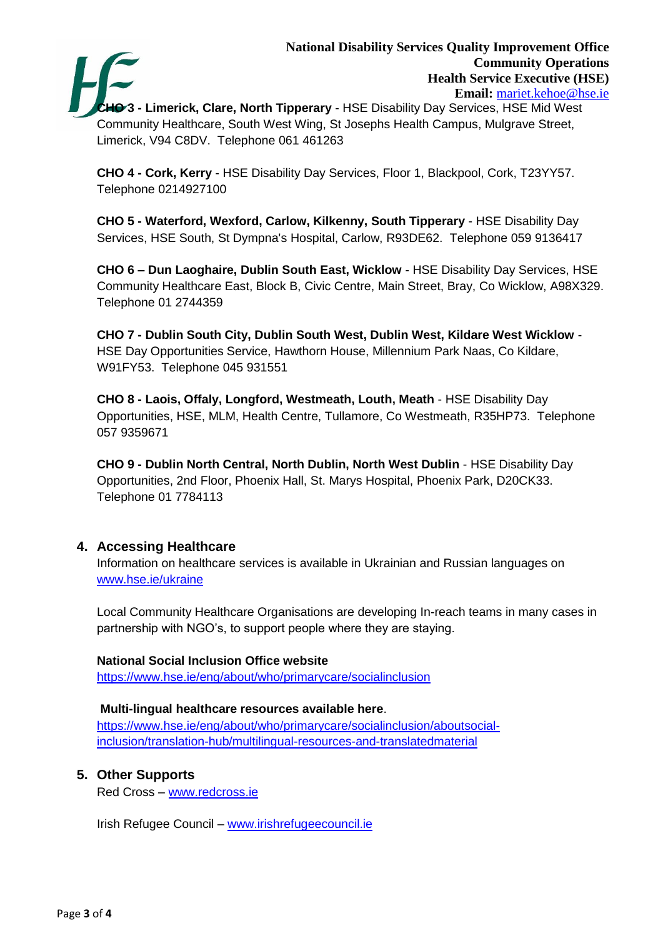

**HO** 3 - Limerick, Clare, North Tipperary - HSE Disability Day Services, HSE Mid West Community Healthcare, South West Wing, St Josephs Health Campus, Mulgrave Street, Limerick, V94 C8DV. Telephone 061 461263

**CHO 4 - Cork, Kerry** - HSE Disability Day Services, Floor 1, Blackpool, Cork, T23YY57. Telephone 0214927100

**CHO 5 - Waterford, Wexford, Carlow, Kilkenny, South Tipperary** - HSE Disability Day Services, HSE South, St Dympna's Hospital, Carlow, R93DE62. Telephone 059 9136417

**CHO 6 – Dun Laoghaire, Dublin South East, Wicklow** - HSE Disability Day Services, HSE Community Healthcare East, Block B, Civic Centre, Main Street, Bray, Co Wicklow, A98X329. Telephone 01 2744359

**CHO 7 - Dublin South City, Dublin South West, Dublin West, Kildare West Wicklow** - HSE Day Opportunities Service, Hawthorn House, Millennium Park Naas, Co Kildare, W91FY53. Telephone 045 931551

**CHO 8 - Laois, Offaly, Longford, Westmeath, Louth, Meath** - HSE Disability Day Opportunities, HSE, MLM, Health Centre, Tullamore, Co Westmeath, R35HP73. Telephone 057 9359671

**CHO 9 - Dublin North Central, North Dublin, North West Dublin** - HSE Disability Day Opportunities, 2nd Floor, Phoenix Hall, St. Marys Hospital, Phoenix Park, D20CK33. Telephone 01 7784113

# **4. Accessing Healthcare**

Information on healthcare services is available in Ukrainian and Russian languages on [www.hse.ie/ukraine](http://www.hse.ie/ukraine)

Local Community Healthcare Organisations are developing In-reach teams in many cases in partnership with NGO's, to support people where they are staying.

# **National Social Inclusion Office website**

<https://www.hse.ie/eng/about/who/primarycare/socialinclusion>

# **Multi-lingual healthcare resources available here**.

[https://www.hse.ie/eng/about/who/primarycare/socialinclusion/aboutsocial](https://www.hse.ie/eng/about/who/primarycare/socialinclusion/aboutsocial-inclusion/translation-hub/multilingual-resources-and-translatedmaterial)[inclusion/translation-hub/multilingual-resources-and-translatedmaterial](https://www.hse.ie/eng/about/who/primarycare/socialinclusion/aboutsocial-inclusion/translation-hub/multilingual-resources-and-translatedmaterial)

# **5. Other Supports**

Red Cross – [www.redcross.ie](http://www.redcross.ie/)

Irish Refugee Council – [www.irishrefugeecouncil.ie](http://www.irishrefugeecouncil.ie/)